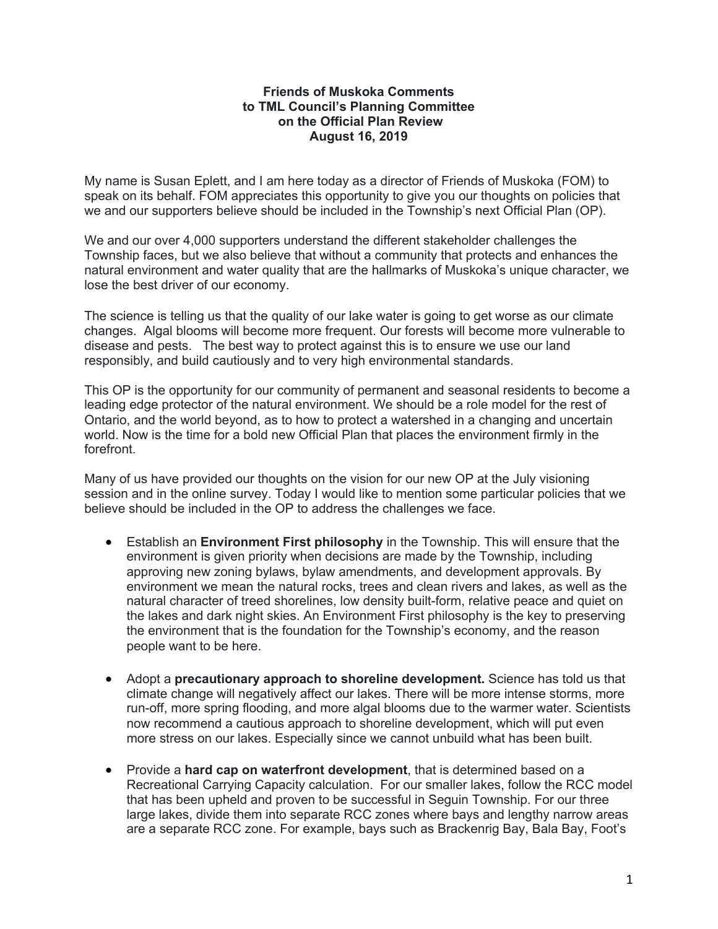## **Friends of Muskoka Comments to TML Council's Planning Committee on the Official Plan Review August 16, 2019**

My name is Susan Eplett, and I am here today as a director of Friends of Muskoka (FOM) to speak on its behalf. FOM appreciates this opportunity to give you our thoughts on policies that we and our supporters believe should be included in the Township's next Official Plan (OP).

We and our over 4,000 supporters understand the different stakeholder challenges the Township faces, but we also believe that without a community that protects and enhances the natural environment and water quality that are the hallmarks of Muskoka's unique character, we lose the best driver of our economy.

The science is telling us that the quality of our lake water is going to get worse as our climate changes. Algal blooms will become more frequent. Our forests will become more vulnerable to disease and pests. The best way to protect against this is to ensure we use our land responsibly, and build cautiously and to very high environmental standards.

This OP is the opportunity for our community of permanent and seasonal residents to become a leading edge protector of the natural environment. We should be a role model for the rest of Ontario, and the world beyond, as to how to protect a watershed in a changing and uncertain world. Now is the time for a bold new Official Plan that places the environment firmly in the forefront.

Many of us have provided our thoughts on the vision for our new OP at the July visioning session and in the online survey. Today I would like to mention some particular policies that we believe should be included in the OP to address the challenges we face.

- Establish an **Environment First philosophy** in the Township. This will ensure that the environment is given priority when decisions are made by the Township, including approving new zoning bylaws, bylaw amendments, and development approvals. By environment we mean the natural rocks, trees and clean rivers and lakes, as well as the natural character of treed shorelines, low density built-form, relative peace and quiet on the lakes and dark night skies. An Environment First philosophy is the key to preserving the environment that is the foundation for the Township's economy, and the reason people want to be here.
- Adopt a **precautionary approach to shoreline development.** Science has told us that climate change will negatively affect our lakes. There will be more intense storms, more run-off, more spring flooding, and more algal blooms due to the warmer water. Scientists now recommend a cautious approach to shoreline development, which will put even more stress on our lakes. Especially since we cannot unbuild what has been built.
- Provide a **hard cap on waterfront development**, that is determined based on a Recreational Carrying Capacity calculation. For our smaller lakes, follow the RCC model that has been upheld and proven to be successful in Seguin Township. For our three large lakes, divide them into separate RCC zones where bays and lengthy narrow areas are a separate RCC zone. For example, bays such as Brackenrig Bay, Bala Bay, Foot's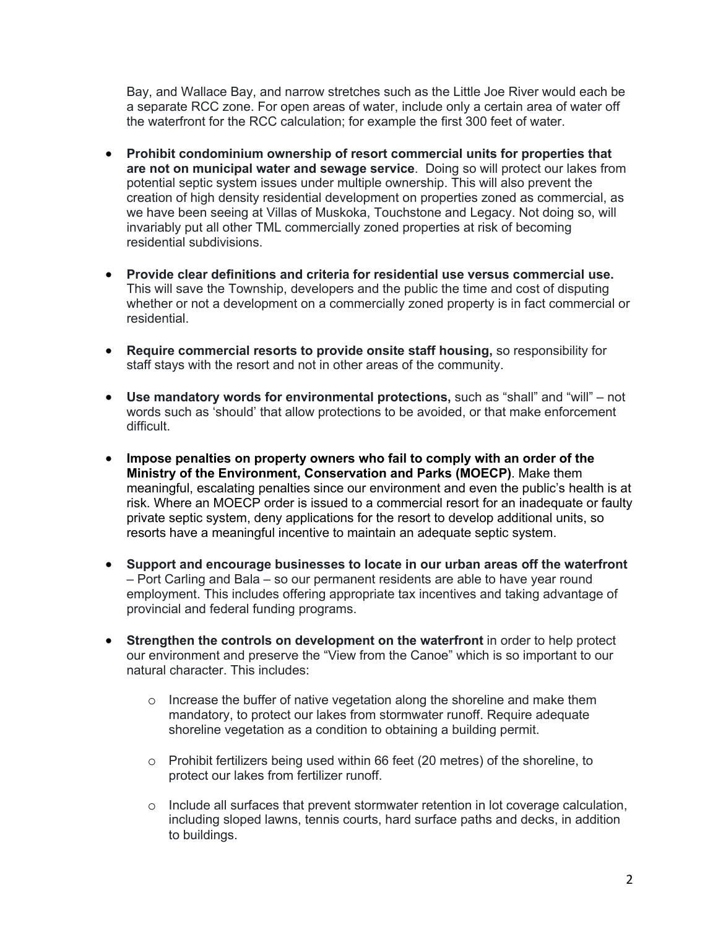Bay, and Wallace Bay, and narrow stretches such as the Little Joe River would each be a separate RCC zone. For open areas of water, include only a certain area of water off the waterfront for the RCC calculation; for example the first 300 feet of water.

- **Prohibit condominium ownership of resort commercial units for properties that are not on municipal water and sewage service**. Doing so will protect our lakes from potential septic system issues under multiple ownership. This will also prevent the creation of high density residential development on properties zoned as commercial, as we have been seeing at Villas of Muskoka, Touchstone and Legacy. Not doing so, will invariably put all other TML commercially zoned properties at risk of becoming residential subdivisions.
- **Provide clear definitions and criteria for residential use versus commercial use.** This will save the Township, developers and the public the time and cost of disputing whether or not a development on a commercially zoned property is in fact commercial or residential.
- **Require commercial resorts to provide onsite staff housing,** so responsibility for staff stays with the resort and not in other areas of the community.
- **Use mandatory words for environmental protections,** such as "shall" and "will" not words such as 'should' that allow protections to be avoided, or that make enforcement difficult.
- **Impose penalties on property owners who fail to comply with an order of the Ministry of the Environment, Conservation and Parks (MOECP)**. Make them meaningful, escalating penalties since our environment and even the public's health is at risk. Where an MOECP order is issued to a commercial resort for an inadequate or faulty private septic system, deny applications for the resort to develop additional units, so resorts have a meaningful incentive to maintain an adequate septic system.
- **Support and encourage businesses to locate in our urban areas off the waterfront** – Port Carling and Bala – so our permanent residents are able to have year round employment. This includes offering appropriate tax incentives and taking advantage of provincial and federal funding programs.
- **Strengthen the controls on development on the waterfront** in order to help protect our environment and preserve the "View from the Canoe" which is so important to our natural character. This includes:
	- o Increase the buffer of native vegetation along the shoreline and make them mandatory, to protect our lakes from stormwater runoff. Require adequate shoreline vegetation as a condition to obtaining a building permit.
	- o Prohibit fertilizers being used within 66 feet (20 metres) of the shoreline, to protect our lakes from fertilizer runoff.
	- o Include all surfaces that prevent stormwater retention in lot coverage calculation, including sloped lawns, tennis courts, hard surface paths and decks, in addition to buildings.